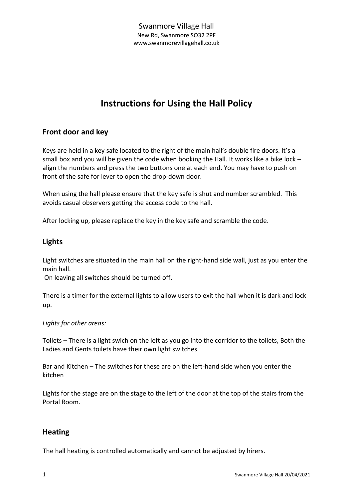# **Instructions for Using the Hall Policy**

# **Front door and key**

Keys are held in a key safe located to the right of the main hall's double fire doors. It's a small box and you will be given the code when booking the Hall. It works like a bike lock  $$ align the numbers and press the two buttons one at each end. You may have to push on front of the safe for lever to open the drop-down door.

When using the hall please ensure that the key safe is shut and number scrambled. This avoids casual observers getting the access code to the hall.

After locking up, please replace the key in the key safe and scramble the code.

# **Lights**

Light switches are situated in the main hall on the right-hand side wall, just as you enter the main hall.

On leaving all switches should be turned off.

There is a timer for the external lights to allow users to exit the hall when it is dark and lock up.

#### *Lights for other areas:*

Toilets – There is a light swich on the left as you go into the corridor to the toilets, Both the Ladies and Gents toilets have their own light switches

Bar and Kitchen – The switches for these are on the left-hand side when you enter the kitchen

Lights for the stage are on the stage to the left of the door at the top of the stairs from the Portal Room.

# **Heating**

The hall heating is controlled automatically and cannot be adjusted by hirers.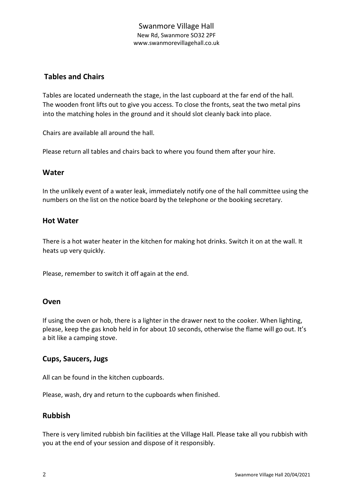#### Swanmore Village Hall New Rd, Swanmore SO32 2PF www.swanmorevillagehall.co.uk

# **Tables and Chairs**

Tables are located underneath the stage, in the last cupboard at the far end of the hall. The wooden front lifts out to give you access. To close the fronts, seat the two metal pins into the matching holes in the ground and it should slot cleanly back into place.

Chairs are available all around the hall.

Please return all tables and chairs back to where you found them after your hire.

#### **Water**

In the unlikely event of a water leak, immediately notify one of the hall committee using the numbers on the list on the notice board by the telephone or the booking secretary.

#### **Hot Water**

There is a hot water heater in the kitchen for making hot drinks. Switch it on at the wall. It heats up very quickly.

Please, remember to switch it off again at the end.

#### **Oven**

If using the oven or hob, there is a lighter in the drawer next to the cooker. When lighting, please, keep the gas knob held in for about 10 seconds, otherwise the flame will go out. It's a bit like a camping stove.

#### **Cups, Saucers, Jugs**

All can be found in the kitchen cupboards.

Please, wash, dry and return to the cupboards when finished.

#### **Rubbish**

There is very limited rubbish bin facilities at the Village Hall. Please take all you rubbish with you at the end of your session and dispose of it responsibly.